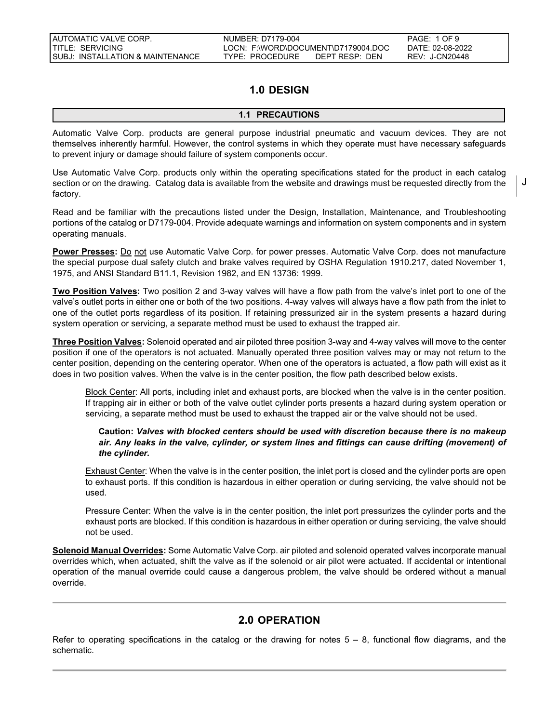# **1.0 DESIGN**

# **1.1 PRECAUTIONS**

Automatic Valve Corp. products are general purpose industrial pneumatic and vacuum devices. They are not themselves inherently harmful. However, the control systems in which they operate must have necessary safeguards to prevent injury or damage should failure of system components occur.

Use Automatic Valve Corp. products only within the operating specifications stated for the product in each catalog section or on the drawing. Catalog data is available from the website and drawings must be requested directly from the factory.

Read and be familiar with the precautions listed under the Design, Installation, Maintenance, and Troubleshooting portions of the catalog or D7179-004. Provide adequate warnings and information on system components and in system operating manuals.

Power Presses: Do not use Automatic Valve Corp. for power presses. Automatic Valve Corp. does not manufacture the special purpose dual safety clutch and brake valves required by OSHA Regulation 1910.217, dated November 1, 1975, and ANSI Standard B11.1, Revision 1982, and EN 13736: 1999.

**Two Position Valves:** Two position 2 and 3-way valves will have a flow path from the valve's inlet port to one of the valve's outlet ports in either one or both of the two positions. 4-way valves will always have a flow path from the inlet to one of the outlet ports regardless of its position. If retaining pressurized air in the system presents a hazard during system operation or servicing, a separate method must be used to exhaust the trapped air.

**Three Position Valves:** Solenoid operated and air piloted three position 3-way and 4-way valves will move to the center position if one of the operators is not actuated. Manually operated three position valves may or may not return to the center position, depending on the centering operator. When one of the operators is actuated, a flow path will exist as it does in two position valves. When the valve is in the center position, the flow path described below exists.

Block Center: All ports, including inlet and exhaust ports, are blocked when the valve is in the center position. If trapping air in either or both of the valve outlet cylinder ports presents a hazard during system operation or servicing, a separate method must be used to exhaust the trapped air or the valve should not be used.

# **Caution:** *Valves with blocked centers should be used with discretion because there is no makeup air. Any leaks in the valve, cylinder, or system lines and fittings can cause drifting (movement) of the cylinder.*

Exhaust Center: When the valve is in the center position, the inlet port is closed and the cylinder ports are open to exhaust ports. If this condition is hazardous in either operation or during servicing, the valve should not be used.

Pressure Center: When the valve is in the center position, the inlet port pressurizes the cylinder ports and the exhaust ports are blocked. If this condition is hazardous in either operation or during servicing, the valve should not be used.

**Solenoid Manual Overrides:** Some Automatic Valve Corp. air piloted and solenoid operated valves incorporate manual overrides which, when actuated, shift the valve as if the solenoid or air pilot were actuated. If accidental or intentional operation of the manual override could cause a dangerous problem, the valve should be ordered without a manual override.

# **2.0 OPERATION**

Refer to operating specifications in the catalog or the drawing for notes  $5 - 8$ , functional flow diagrams, and the schematic.

J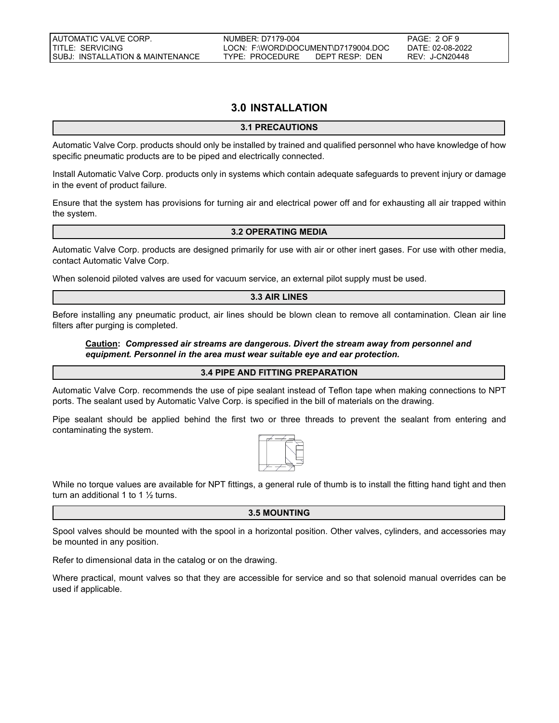# **3.0 INSTALLATION**

# **3.1 PRECAUTIONS**

Automatic Valve Corp. products should only be installed by trained and qualified personnel who have knowledge of how specific pneumatic products are to be piped and electrically connected.

Install Automatic Valve Corp. products only in systems which contain adequate safeguards to prevent injury or damage in the event of product failure.

Ensure that the system has provisions for turning air and electrical power off and for exhausting all air trapped within the system.

# **3.2 OPERATING MEDIA**

Automatic Valve Corp. products are designed primarily for use with air or other inert gases. For use with other media, contact Automatic Valve Corp.

When solenoid piloted valves are used for vacuum service, an external pilot supply must be used.

### **3.3 AIR LINES**

Before installing any pneumatic product, air lines should be blown clean to remove all contamination. Clean air line filters after purging is completed.

## **Caution:** *Compressed air streams are dangerous. Divert the stream away from personnel and equipment. Personnel in the area must wear suitable eye and ear protection.*

### **3.4 PIPE AND FITTING PREPARATION**

Automatic Valve Corp. recommends the use of pipe sealant instead of Teflon tape when making connections to NPT ports. The sealant used by Automatic Valve Corp. is specified in the bill of materials on the drawing.

Pipe sealant should be applied behind the first two or three threads to prevent the sealant from entering and contaminating the system.



While no torque values are available for NPT fittings, a general rule of thumb is to install the fitting hand tight and then turn an additional 1 to 1  $\frac{1}{2}$  turns.

# **3.5 MOUNTING**

Spool valves should be mounted with the spool in a horizontal position. Other valves, cylinders, and accessories may be mounted in any position.

Refer to dimensional data in the catalog or on the drawing.

Where practical, mount valves so that they are accessible for service and so that solenoid manual overrides can be used if applicable.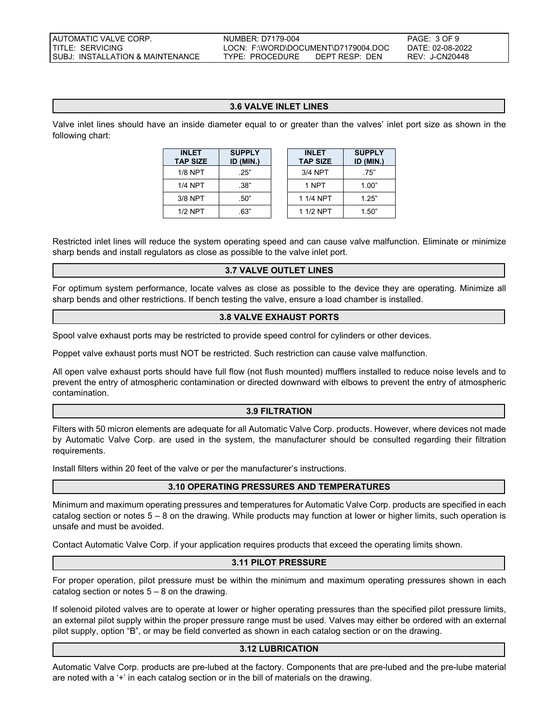**SUPPLY ID (MIN.)**

# **3.6 VALVE INLET LINES**

Valve inlet lines should have an inside diameter equal to or greater than the valves' inlet port size as shown in the following chart:

| <b>INLET</b><br><b>TAP SIZE</b> | <b>SUPPLY</b><br>ID (MIN.) | <b>INLET</b><br><b>TAP SIZE</b> | <b>SUPPL</b><br><b>ID (MIN</b> |
|---------------------------------|----------------------------|---------------------------------|--------------------------------|
| $1/8$ NPT                       | .25"                       | 3/4 NPT                         | .75"                           |
| 1/4 NPT                         | .38"                       | 1 NPT                           | 1.00"                          |
| 3/8 NPT                         | .50"                       | 1 1/4 NPT                       | 1.25"                          |
| $1/2$ NPT                       | .63"                       | 1 1/2 NPT                       | 1.50"                          |

Restricted inlet lines will reduce the system operating speed and can cause valve malfunction. Eliminate or minimize sharp bends and install regulators as close as possible to the valve inlet port.

### **3.7 VALVE OUTLET LINES**

For optimum system performance, locate valves as close as possible to the device they are operating. Minimize all sharp bends and other restrictions. If bench testing the valve, ensure a load chamber is installed.

## **3.8 VALVE EXHAUST PORTS**

Spool valve exhaust ports may be restricted to provide speed control for cylinders or other devices.

Poppet valve exhaust ports must NOT be restricted. Such restriction can cause valve malfunction.

All open valve exhaust ports should have full flow (not flush mounted) mufflers installed to reduce noise levels and to prevent the entry of atmospheric contamination or directed downward with elbows to prevent the entry of atmospheric contamination.

### **3.9 FILTRATION**

Filters with 50 micron elements are adequate for all Automatic Valve Corp. products. However, where devices not made by Automatic Valve Corp. are used in the system, the manufacturer should be consulted regarding their filtration requirements.

Install filters within 20 feet of the valve or per the manufacturer's instructions.

# **3.10 OPERATING PRESSURES AND TEMPERATURES**

Minimum and maximum operating pressures and temperatures for Automatic Valve Corp. products are specified in each catalog section or notes 5 – 8 on the drawing. While products may function at lower or higher limits, such operation is unsafe and must be avoided.

Contact Automatic Valve Corp. if your application requires products that exceed the operating limits shown.

# **3.11 PILOT PRESSURE**

For proper operation, pilot pressure must be within the minimum and maximum operating pressures shown in each catalog section or notes  $5 - 8$  on the drawing.

If solenoid piloted valves are to operate at lower or higher operating pressures than the specified pilot pressure limits, an external pilot supply within the proper pressure range must be used. Valves may either be ordered with an external pilot supply, option "B", or may be field converted as shown in each catalog section or on the drawing.

### **3.12 LUBRICATION**

Automatic Valve Corp. products are pre-lubed at the factory. Components that are pre-lubed and the pre-lube material are noted with a '+' in each catalog section or in the bill of materials on the drawing.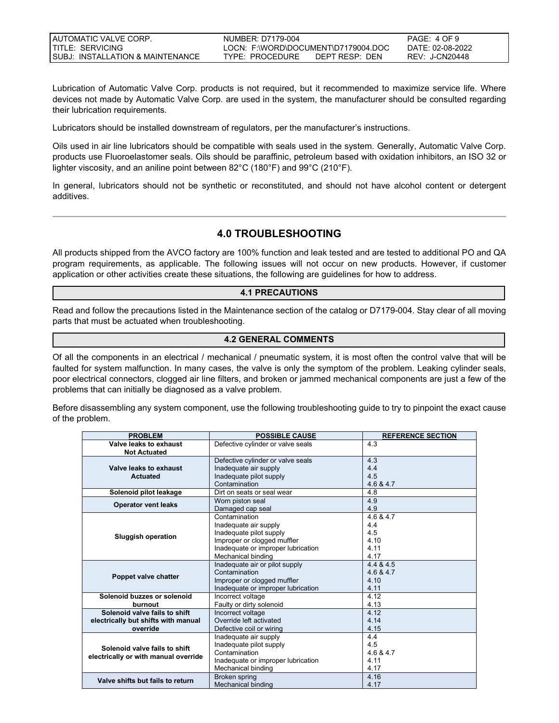| I AUTOMATIC VALVE CORP.            | NUMBER: D7179-004                  | PAGE: 4 OF 9     |
|------------------------------------|------------------------------------|------------------|
| TITLE: SERVICING                   | LOCN: F:WORD\DOCUMENT\D7179004.DOC | DATF: 02-08-2022 |
| I SUBJ: INSTALLATION & MAINTENANCE | TYPE: PROCEDURE<br>DEPT RESP: DEN  | REV: J-CN20448   |

Lubrication of Automatic Valve Corp. products is not required, but it recommended to maximize service life. Where devices not made by Automatic Valve Corp. are used in the system, the manufacturer should be consulted regarding their lubrication requirements.

Lubricators should be installed downstream of regulators, per the manufacturer's instructions.

Oils used in air line lubricators should be compatible with seals used in the system. Generally, Automatic Valve Corp. products use Fluoroelastomer seals. Oils should be paraffinic, petroleum based with oxidation inhibitors, an ISO 32 or lighter viscosity, and an aniline point between 82°C (180°F) and 99°C (210°F).

In general, lubricators should not be synthetic or reconstituted, and should not have alcohol content or detergent additives.

# **4.0 TROUBLESHOOTING**

All products shipped from the AVCO factory are 100% function and leak tested and are tested to additional PO and QA program requirements, as applicable. The following issues will not occur on new products. However, if customer application or other activities create these situations, the following are guidelines for how to address.

# **4.1 PRECAUTIONS**

Read and follow the precautions listed in the Maintenance section of the catalog or D7179-004. Stay clear of all moving parts that must be actuated when troubleshooting.

# **4.2 GENERAL COMMENTS**

Of all the components in an electrical / mechanical / pneumatic system, it is most often the control valve that will be faulted for system malfunction. In many cases, the valve is only the symptom of the problem. Leaking cylinder seals, poor electrical connectors, clogged air line filters, and broken or jammed mechanical components are just a few of the problems that can initially be diagnosed as a valve problem.

Before disassembling any system component, use the following troubleshooting guide to try to pinpoint the exact cause of the problem.

| <b>PROBLEM</b>                       | <b>POSSIBLE CAUSE</b>              | <b>REFERENCE SECTION</b> |
|--------------------------------------|------------------------------------|--------------------------|
| Valve leaks to exhaust               | Defective cylinder or valve seals  | 4.3                      |
| <b>Not Actuated</b>                  |                                    |                          |
|                                      | Defective cylinder or valve seals  | 4.3                      |
| Valve leaks to exhaust               | Inadequate air supply              | 4.4                      |
| <b>Actuated</b>                      | Inadequate pilot supply            | 4.5                      |
|                                      | Contamination                      | 4.6 & 4.7                |
| Solenoid pilot leakage               | Dirt on seats or seal wear         | 4.8                      |
| <b>Operator vent leaks</b>           | Worn piston seal                   | 4.9                      |
|                                      | Damaged cap seal                   | 4.9                      |
|                                      | Contamination                      | 4.6 & 4.7                |
| <b>Sluggish operation</b>            | Inadequate air supply              | 4.4                      |
|                                      | Inadequate pilot supply            | 4.5                      |
|                                      | Improper or clogged muffler        | 4.10                     |
|                                      | Inadequate or improper lubrication | 4.11                     |
|                                      | Mechanical binding                 | 4.17                     |
| Poppet valve chatter                 | Inadequate air or pilot supply     | 4.4 & 4.5                |
|                                      | Contamination                      | 4.6 & 4.7                |
|                                      | Improper or clogged muffler        | 4.10                     |
|                                      | Inadequate or improper lubrication | 4.11                     |
| Solenoid buzzes or solenoid          | Incorrect voltage                  | 4.12                     |
| burnout                              | Faulty or dirty solenoid           | 4.13                     |
| Solenoid valve fails to shift        | Incorrect voltage                  | 4.12                     |
| electrically but shifts with manual  | Override left activated            | 4.14                     |
| override                             | Defective coil or wiring           | 4.15                     |
|                                      | Inadequate air supply              | 4.4                      |
| Solenoid valve fails to shift        | Inadequate pilot supply            | 4.5                      |
| electrically or with manual override | Contamination                      | 4.6 & 4.7                |
|                                      | Inadequate or improper lubrication | 4.11                     |
|                                      | Mechanical binding                 | 4.17                     |
| Valve shifts but fails to return     | Broken spring                      | 4.16                     |
|                                      | Mechanical binding                 | 4.17                     |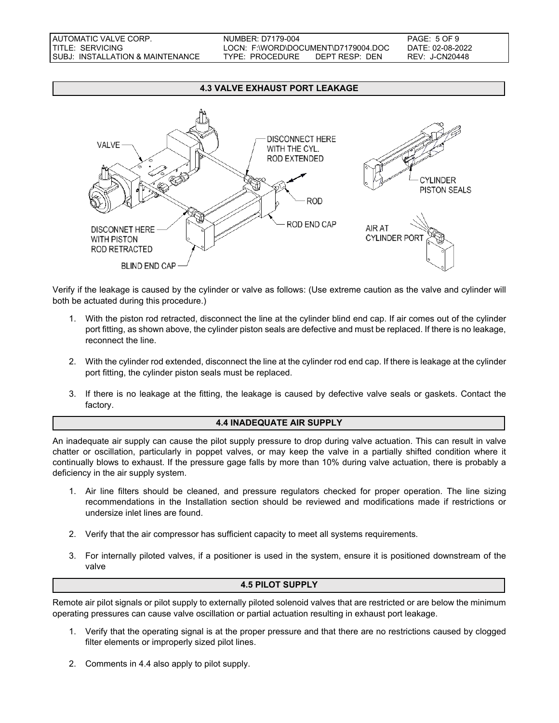#### **4.3 VALVE EXHAUST PORT LEAKAGE**



Verify if the leakage is caused by the cylinder or valve as follows: (Use extreme caution as the valve and cylinder will both be actuated during this procedure.)

- 1. With the piston rod retracted, disconnect the line at the cylinder blind end cap. If air comes out of the cylinder port fitting, as shown above, the cylinder piston seals are defective and must be replaced. If there is no leakage, reconnect the line.
- 2. With the cylinder rod extended, disconnect the line at the cylinder rod end cap. If there is leakage at the cylinder port fitting, the cylinder piston seals must be replaced.
- 3. If there is no leakage at the fitting, the leakage is caused by defective valve seals or gaskets. Contact the factory.

## **4.4 INADEQUATE AIR SUPPLY**

An inadequate air supply can cause the pilot supply pressure to drop during valve actuation. This can result in valve chatter or oscillation, particularly in poppet valves, or may keep the valve in a partially shifted condition where it continually blows to exhaust. If the pressure gage falls by more than 10% during valve actuation, there is probably a deficiency in the air supply system.

- 1. Air line filters should be cleaned, and pressure regulators checked for proper operation. The line sizing recommendations in the Installation section should be reviewed and modifications made if restrictions or undersize inlet lines are found.
- 2. Verify that the air compressor has sufficient capacity to meet all systems requirements.
- 3. For internally piloted valves, if a positioner is used in the system, ensure it is positioned downstream of the valve

### **4.5 PILOT SUPPLY**

Remote air pilot signals or pilot supply to externally piloted solenoid valves that are restricted or are below the minimum operating pressures can cause valve oscillation or partial actuation resulting in exhaust port leakage.

- 1. Verify that the operating signal is at the proper pressure and that there are no restrictions caused by clogged filter elements or improperly sized pilot lines.
- 2. Comments in 4.4 also apply to pilot supply.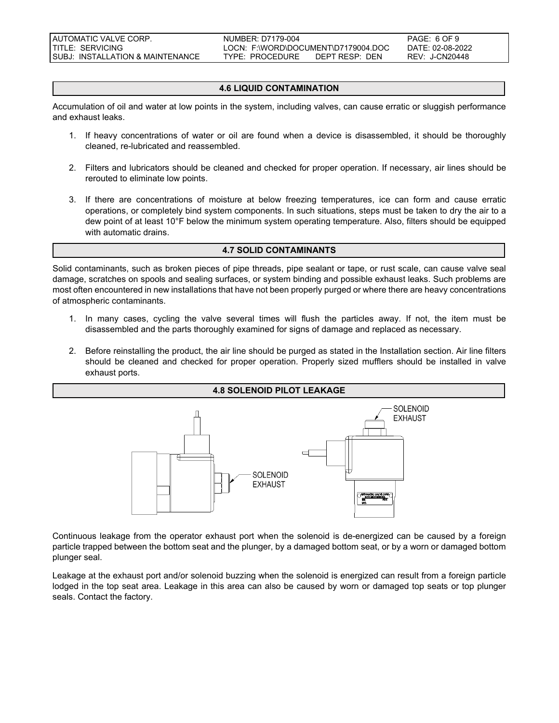AUTOMATIC VALVE CORP. NUMBER: D7179-004 PAGE: 6 OF 9 TITLE: SERVICING LOCN: F:\WORD\DOCUMENT\D7179004.DOC DATE: 02-08-2022 SUBJ: INSTALLATION & MAINTENANCE TYPE: PROCEDURE DEPT RESP: DEN REV: J-CN20448

### **4.6 LIQUID CONTAMINATION**

Accumulation of oil and water at low points in the system, including valves, can cause erratic or sluggish performance and exhaust leaks.

- 1. If heavy concentrations of water or oil are found when a device is disassembled, it should be thoroughly cleaned, re-lubricated and reassembled.
- 2. Filters and lubricators should be cleaned and checked for proper operation. If necessary, air lines should be rerouted to eliminate low points.
- 3. If there are concentrations of moisture at below freezing temperatures, ice can form and cause erratic operations, or completely bind system components. In such situations, steps must be taken to dry the air to a dew point of at least 10°F below the minimum system operating temperature. Also, filters should be equipped with automatic drains.

#### **4.7 SOLID CONTAMINANTS**

Solid contaminants, such as broken pieces of pipe threads, pipe sealant or tape, or rust scale, can cause valve seal damage, scratches on spools and sealing surfaces, or system binding and possible exhaust leaks. Such problems are most often encountered in new installations that have not been properly purged or where there are heavy concentrations of atmospheric contaminants.

- 1. In many cases, cycling the valve several times will flush the particles away. If not, the item must be disassembled and the parts thoroughly examined for signs of damage and replaced as necessary.
- 2. Before reinstalling the product, the air line should be purged as stated in the Installation section. Air line filters should be cleaned and checked for proper operation. Properly sized mufflers should be installed in valve exhaust ports.



Continuous leakage from the operator exhaust port when the solenoid is de-energized can be caused by a foreign particle trapped between the bottom seat and the plunger, by a damaged bottom seat, or by a worn or damaged bottom plunger seal.

Leakage at the exhaust port and/or solenoid buzzing when the solenoid is energized can result from a foreign particle lodged in the top seat area. Leakage in this area can also be caused by worn or damaged top seats or top plunger seals. Contact the factory.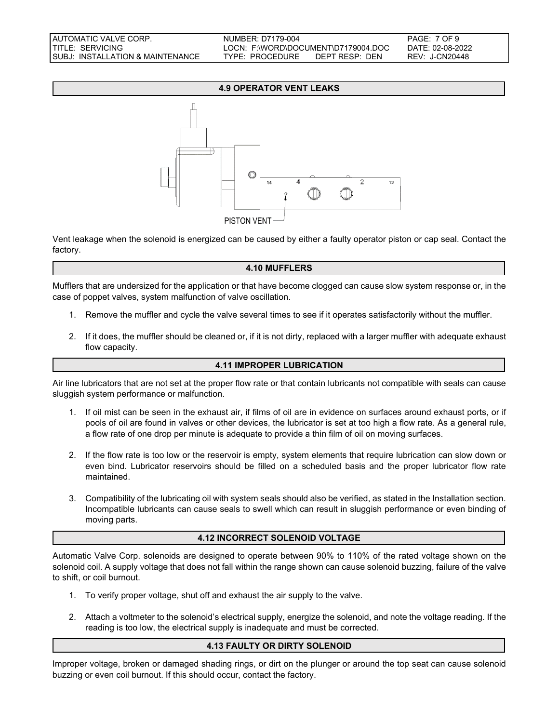### **4.9 OPERATOR VENT LEAKS**



Vent leakage when the solenoid is energized can be caused by either a faulty operator piston or cap seal. Contact the factory.

### **4.10 MUFFLERS**

Mufflers that are undersized for the application or that have become clogged can cause slow system response or, in the case of poppet valves, system malfunction of valve oscillation.

- 1. Remove the muffler and cycle the valve several times to see if it operates satisfactorily without the muffler.
- 2. If it does, the muffler should be cleaned or, if it is not dirty, replaced with a larger muffler with adequate exhaust flow capacity.

## **4.11 IMPROPER LUBRICATION**

Air line lubricators that are not set at the proper flow rate or that contain lubricants not compatible with seals can cause sluggish system performance or malfunction.

- 1. If oil mist can be seen in the exhaust air, if films of oil are in evidence on surfaces around exhaust ports, or if pools of oil are found in valves or other devices, the lubricator is set at too high a flow rate. As a general rule, a flow rate of one drop per minute is adequate to provide a thin film of oil on moving surfaces.
- 2. If the flow rate is too low or the reservoir is empty, system elements that require lubrication can slow down or even bind. Lubricator reservoirs should be filled on a scheduled basis and the proper lubricator flow rate maintained.
- 3. Compatibility of the lubricating oil with system seals should also be verified, as stated in the Installation section. Incompatible lubricants can cause seals to swell which can result in sluggish performance or even binding of moving parts.

## **4.12 INCORRECT SOLENOID VOLTAGE**

Automatic Valve Corp. solenoids are designed to operate between 90% to 110% of the rated voltage shown on the solenoid coil. A supply voltage that does not fall within the range shown can cause solenoid buzzing, failure of the valve to shift, or coil burnout.

- 1. To verify proper voltage, shut off and exhaust the air supply to the valve.
- 2. Attach a voltmeter to the solenoid's electrical supply, energize the solenoid, and note the voltage reading. If the reading is too low, the electrical supply is inadequate and must be corrected.

### **4.13 FAULTY OR DIRTY SOLENOID**

Improper voltage, broken or damaged shading rings, or dirt on the plunger or around the top seat can cause solenoid buzzing or even coil burnout. If this should occur, contact the factory.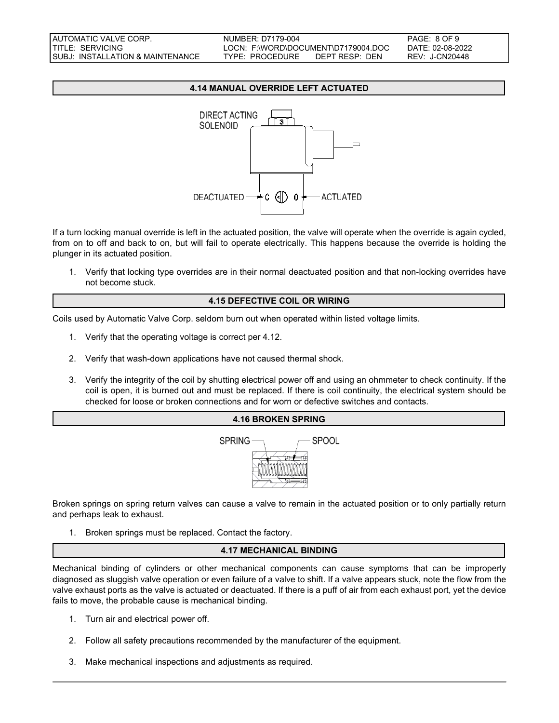### **4.14 MANUAL OVERRIDE LEFT ACTUATED**



If a turn locking manual override is left in the actuated position, the valve will operate when the override is again cycled, from on to off and back to on, but will fail to operate electrically. This happens because the override is holding the plunger in its actuated position.

1. Verify that locking type overrides are in their normal deactuated position and that non-locking overrides have not become stuck.

### **4.15 DEFECTIVE COIL OR WIRING**

Coils used by Automatic Valve Corp. seldom burn out when operated within listed voltage limits.

- 1. Verify that the operating voltage is correct per 4.12.
- 2. Verify that wash-down applications have not caused thermal shock.
- 3. Verify the integrity of the coil by shutting electrical power off and using an ohmmeter to check continuity. If the coil is open, it is burned out and must be replaced. If there is coil continuity, the electrical system should be checked for loose or broken connections and for worn or defective switches and contacts.



Broken springs on spring return valves can cause a valve to remain in the actuated position or to only partially return and perhaps leak to exhaust.

1. Broken springs must be replaced. Contact the factory.

#### **4.17 MECHANICAL BINDING**

Mechanical binding of cylinders or other mechanical components can cause symptoms that can be improperly diagnosed as sluggish valve operation or even failure of a valve to shift. If a valve appears stuck, note the flow from the valve exhaust ports as the valve is actuated or deactuated. If there is a puff of air from each exhaust port, yet the device fails to move, the probable cause is mechanical binding.

- 1. Turn air and electrical power off.
- 2. Follow all safety precautions recommended by the manufacturer of the equipment.
- 3. Make mechanical inspections and adjustments as required.